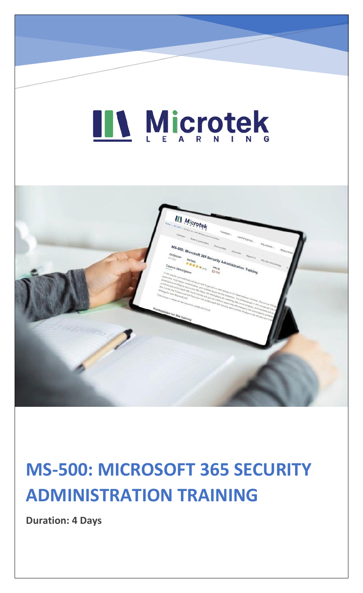# LL Microtek



### **MS-500: MICROSOFT 365 SECURITY ADMINISTRATION TRAINING**

**Duration: 4 Days**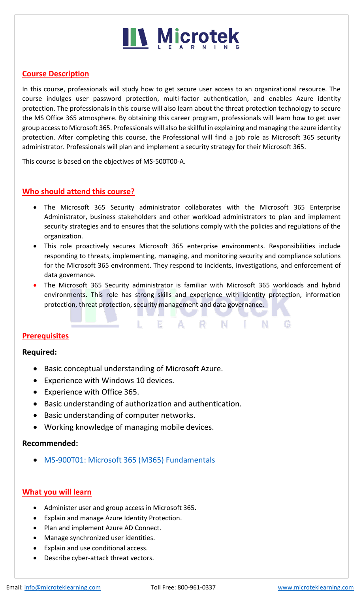#### **Course Description**

In this course, professionals will study how to get secure user access to an organizational resource. The course indulges user password protection, multi-factor authentication, and enables Azure identity protection. The professionals in this course will also learn about the threat protection technology to secure the MS Office 365 atmosphere. By obtaining this career program, professionals will learn how to get user group access to Microsoft 365. Professionals will also be skillful in explaining and managing the azure identity protection. After completing this course, the Professional will find a job role as Microsoft 365 security administrator. Professionals will plan and implement a security strategy for their Microsoft 365.

This course is based on the objectives of MS-500T00-A.

#### **Who should attend this course?**

- The Microsoft 365 Security administrator collaborates with the Microsoft 365 Enterprise Administrator, business stakeholders and other workload administrators to plan and implement security strategies and to ensures that the solutions comply with the policies and regulations of the organization.
- This role proactively secures Microsoft 365 enterprise environments. Responsibilities include responding to threats, implementing, managing, and monitoring security and compliance solutions for the Microsoft 365 environment. They respond to incidents, investigations, and enforcement of data governance.
- The Microsoft 365 Security administrator is familiar with Microsoft 365 workloads and hybrid environments. This role has strong skills and experience with identity protection, information protection, threat protection, security management and data governance.

A.

R N

-1

N

E

#### **Prerequisites**

#### **Required:**

- Basic conceptual understanding of Microsoft Azure.
- Experience with Windows 10 devices.
- Experience with Office 365.
- Basic understanding of authorization and authentication.
- Basic understanding of computer networks.
- Working knowledge of managing mobile devices.

#### **Recommended:**

• [MS-900T01: Microsoft 365 \(M365\) Fundamentals](https://www.microteklearning.com/ms-900t01-microsoft-365-fundamentals-training/)

#### **What you will learn**

- Administer user and group access in Microsoft 365.
- Explain and manage Azure Identity Protection.
- Plan and implement Azure AD Connect.
- Manage synchronized user identities.
- Explain and use conditional access.
- Describe cyber-attack threat vectors.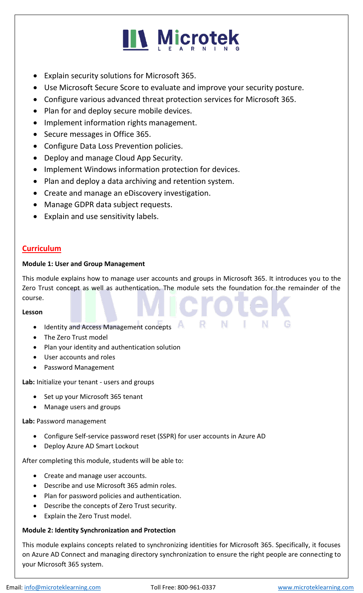

- Explain security solutions for Microsoft 365.
- Use Microsoft Secure Score to evaluate and improve your security posture.
- Configure various advanced threat protection services for Microsoft 365.
- Plan for and deploy secure mobile devices.
- Implement information rights management.
- Secure messages in Office 365.
- Configure Data Loss Prevention policies.
- Deploy and manage Cloud App Security.
- Implement Windows information protection for devices.
- Plan and deploy a data archiving and retention system.
- Create and manage an eDiscovery investigation.
- Manage GDPR data subject requests.
- Explain and use sensitivity labels.

#### **Curriculum**

#### **Module 1: User and Group Management**

This module explains how to manage user accounts and groups in Microsoft 365. It introduces you to the Zero Trust concept as well as authentication. The module sets the foundation for the remainder of the course.

#### **Lesson**

- Identity and Access Management concepts
- The Zero Trust model
- Plan your identity and authentication solution
- User accounts and roles
- Password Management

**Lab:** Initialize your tenant - users and groups

- Set up your Microsoft 365 tenant
- Manage users and groups

#### **Lab:** Password management

- Configure Self-service password reset (SSPR) for user accounts in Azure AD
- Deploy Azure AD Smart Lockout

After completing this module, students will be able to:

- Create and manage user accounts.
- Describe and use Microsoft 365 admin roles.
- Plan for password policies and authentication.
- Describe the concepts of Zero Trust security.
- Explain the Zero Trust model.

#### **Module 2: Identity Synchronization and Protection**

This module explains concepts related to synchronizing identities for Microsoft 365. Specifically, it focuses on Azure AD Connect and managing directory synchronization to ensure the right people are connecting to your Microsoft 365 system.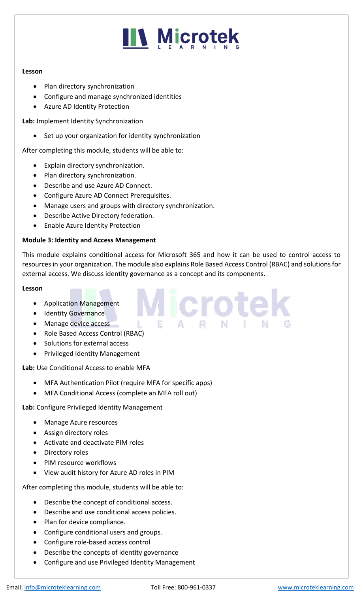#### **Lesson**

- Plan directory synchronization
- Configure and manage synchronized identities
- Azure AD Identity Protection

**Lab:** Implement Identity Synchronization

Set up your organization for identity synchronization

After completing this module, students will be able to:

- Explain directory synchronization.
- Plan directory synchronization.
- Describe and use Azure AD Connect.
- Configure Azure AD Connect Prerequisites.
- Manage users and groups with directory synchronization.
- Describe Active Directory federation.
- Enable Azure Identity Protection

#### **Module 3: Identity and Access Management**

This module explains conditional access for Microsoft 365 and how it can be used to control access to resources in your organization. The module also explains Role Based Access Control (RBAC) and solutions for external access. We discuss identity governance as a concept and its components.

**Microte** 

#### **Lesson**

- Application Management
- Identity Governance
- Manage device access
- Role Based Access Control (RBAC)
- Solutions for external access
- Privileged Identity Management

**Lab:** Use Conditional Access to enable MFA

- MFA Authentication Pilot (require MFA for specific apps)
- MFA Conditional Access (complete an MFA roll out)

**Lab:** Configure Privileged Identity Management

- Manage Azure resources
- Assign directory roles
- Activate and deactivate PIM roles
- Directory roles
- PIM resource workflows
- View audit history for Azure AD roles in PIM

After completing this module, students will be able to:

- Describe the concept of conditional access.
- Describe and use conditional access policies.
- Plan for device compliance.
- Configure conditional users and groups.
- Configure role-based access control
- Describe the concepts of identity governance
- Configure and use Privileged Identity Management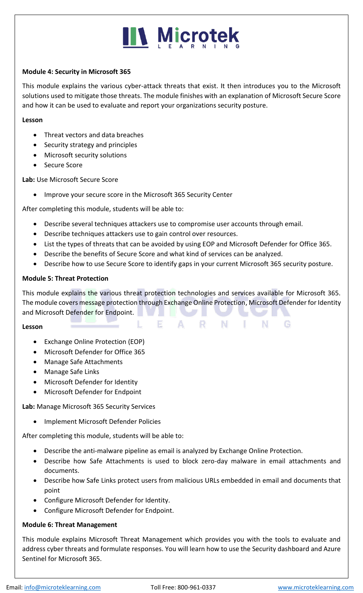#### **Module 4: Security in Microsoft 365**

This module explains the various cyber-attack threats that exist. It then introduces you to the Microsoft solutions used to mitigate those threats. The module finishes with an explanation of Microsoft Secure Score and how it can be used to evaluate and report your organizations security posture.

#### **Lesson**

- Threat vectors and data breaches
- Security strategy and principles
- Microsoft security solutions
- Secure Score

**Lab:** Use Microsoft Secure Score

• Improve your secure score in the Microsoft 365 Security Center

After completing this module, students will be able to:

- Describe several techniques attackers use to compromise user accounts through email.
- Describe techniques attackers use to gain control over resources.
- List the types of threats that can be avoided by using EOP and Microsoft Defender for Office 365.
- Describe the benefits of Secure Score and what kind of services can be analyzed.

F.

• Describe how to use Secure Score to identify gaps in your current Microsoft 365 security posture.

#### **Module 5: Threat Protection**

This module explains the various threat protection technologies and services available for Microsoft 365. The module covers message protection through Exchange Online Protection, Microsoft Defender for Identity and Microsoft Defender for Endpoint.

 $\mathbf{A}$ 

- R

- N -

- 1

N

G

#### **Lesson**

- Exchange Online Protection (EOP)
- Microsoft Defender for Office 365
- Manage Safe Attachments
- Manage Safe Links
- Microsoft Defender for Identity
- Microsoft Defender for Endpoint

**Lab:** Manage Microsoft 365 Security Services

• Implement Microsoft Defender Policies

After completing this module, students will be able to:

- Describe the anti-malware pipeline as email is analyzed by Exchange Online Protection.
- Describe how Safe Attachments is used to block zero-day malware in email attachments and documents.
- Describe how Safe Links protect users from malicious URLs embedded in email and documents that point
- Configure Microsoft Defender for Identity.
- Configure Microsoft Defender for Endpoint.

#### **Module 6: Threat Management**

This module explains Microsoft Threat Management which provides you with the tools to evaluate and address cyber threats and formulate responses. You will learn how to use the Security dashboard and Azure Sentinel for Microsoft 365.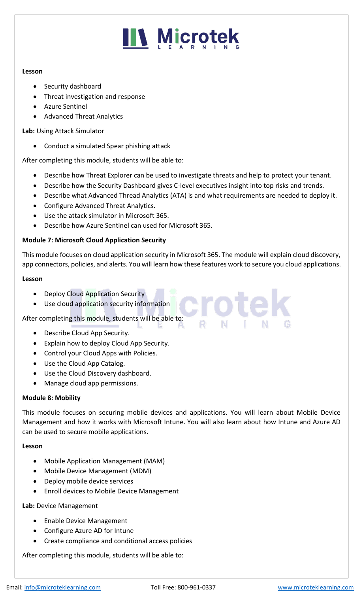#### **Lesson**

- Security dashboard
- Threat investigation and response
- Azure Sentinel
- Advanced Threat Analytics

**Lab:** Using Attack Simulator

• Conduct a simulated Spear phishing attack

After completing this module, students will be able to:

- Describe how Threat Explorer can be used to investigate threats and help to protect your tenant.
- Describe how the Security Dashboard gives C-level executives insight into top risks and trends.
- Describe what Advanced Thread Analytics (ATA) is and what requirements are needed to deploy it.
- Configure Advanced Threat Analytics.
- Use the attack simulator in Microsoft 365.
- Describe how Azure Sentinel can used for Microsoft 365.

#### **Module 7: Microsoft Cloud Application Security**

This module focuses on cloud application security in Microsoft 365. The module will explain cloud discovery, app connectors, policies, and alerts. You will learn how these features work to secure you cloud applications.

#### **Lesson**

- Deploy Cloud Application Security
- Use cloud application security information

After completing this module, students will be able to:

- Describe Cloud App Security.
- Explain how to deploy Cloud App Security.
- Control your Cloud Apps with Policies.
- Use the Cloud App Catalog.
- Use the Cloud Discovery dashboard.
- Manage cloud app permissions.

#### **Module 8: Mobility**

This module focuses on securing mobile devices and applications. You will learn about Mobile Device Management and how it works with Microsoft Intune. You will also learn about how Intune and Azure AD can be used to secure mobile applications.

#### **Lesson**

- Mobile Application Management (MAM)
- Mobile Device Management (MDM)
- Deploy mobile device services
- Enroll devices to Mobile Device Management

#### **Lab:** Device Management

- Enable Device Management
- Configure Azure AD for Intune
- Create compliance and conditional access policies

After completing this module, students will be able to: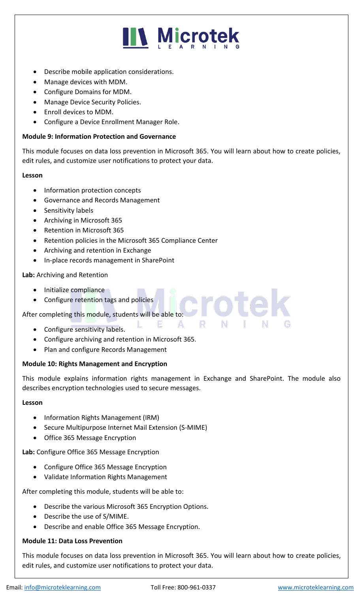### **IN Microtek**

- Describe mobile application considerations.
- Manage devices with MDM.
- Configure Domains for MDM.
- Manage Device Security Policies.
- Enroll devices to MDM.
- Configure a Device Enrollment Manager Role.

#### **Module 9: Information Protection and Governance**

This module focuses on data loss prevention in Microsoft 365. You will learn about how to create policies, edit rules, and customize user notifications to protect your data.

#### **Lesson**

- Information protection concepts
- Governance and Records Management
- Sensitivity labels
- Archiving in Microsoft 365
- Retention in Microsoft 365
- Retention policies in the Microsoft 365 Compliance Center
- Archiving and retention in Exchange
- In-place records management in SharePoint

#### **Lab:** Archiving and Retention

- Initialize compliance
- **•** Configure retention tags and policies

After completing this module, students will be able to:

- Configure sensitivity labels.
- Configure archiving and retention in Microsoft 365.
- Plan and configure Records Management

#### **Module 10: Rights Management and Encryption**

This module explains information rights management in Exchange and SharePoint. The module also describes encryption technologies used to secure messages.

E A R N

#### **Lesson**

- Information Rights Management (IRM)
- Secure Multipurpose Internet Mail Extension (S-MIME)
- Office 365 Message Encryption

#### **Lab:** Configure Office 365 Message Encryption

- Configure Office 365 Message Encryption
- Validate Information Rights Management

After completing this module, students will be able to:

- Describe the various Microsoft 365 Encryption Options.
- Describe the use of S/MIME.
- Describe and enable Office 365 Message Encryption.

#### **Module 11: Data Loss Prevention**

This module focuses on data loss prevention in Microsoft 365. You will learn about how to create policies, edit rules, and customize user notifications to protect your data.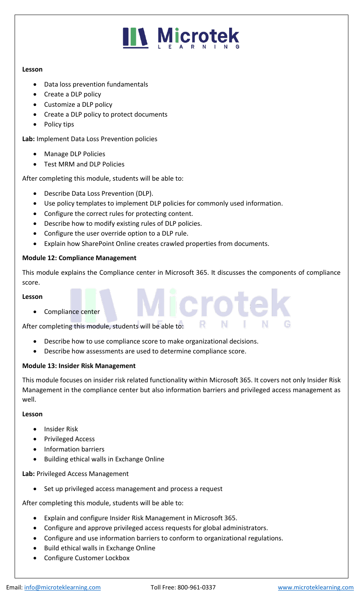#### **Lesson**

- Data loss prevention fundamentals
- Create a DLP policy
- Customize a DLP policy
- Create a DLP policy to protect documents
- Policy tips

**Lab:** Implement Data Loss Prevention policies

- Manage DLP Policies
- Test MRM and DLP Policies

After completing this module, students will be able to:

- Describe Data Loss Prevention (DLP).
- Use policy templates to implement DLP policies for commonly used information.
- Configure the correct rules for protecting content.
- Describe how to modify existing rules of DLP policies.
- Configure the user override option to a DLP rule.
- Explain how SharePoint Online creates crawled properties from documents.

#### **Module 12: Compliance Management**

This module explains the Compliance center in Microsoft 365. It discusses the components of compliance score.

**licrote** 

#### **Lesson**

• Compliance center

After completing this module, students will be able to:

- Describe how to use compliance score to make organizational decisions.
- Describe how assessments are used to determine compliance score.

#### **Module 13: Insider Risk Management**

This module focuses on insider risk related functionality within Microsoft 365. It covers not only Insider Risk Management in the compliance center but also information barriers and privileged access management as well.

#### **Lesson**

- Insider Risk
- Privileged Access
- Information barriers
- Building ethical walls in Exchange Online

#### **Lab:** Privileged Access Management

• Set up privileged access management and process a request

After completing this module, students will be able to:

- Explain and configure Insider Risk Management in Microsoft 365.
- Configure and approve privileged access requests for global administrators.
- Configure and use information barriers to conform to organizational regulations.
- Build ethical walls in Exchange Online
- Configure Customer Lockbox